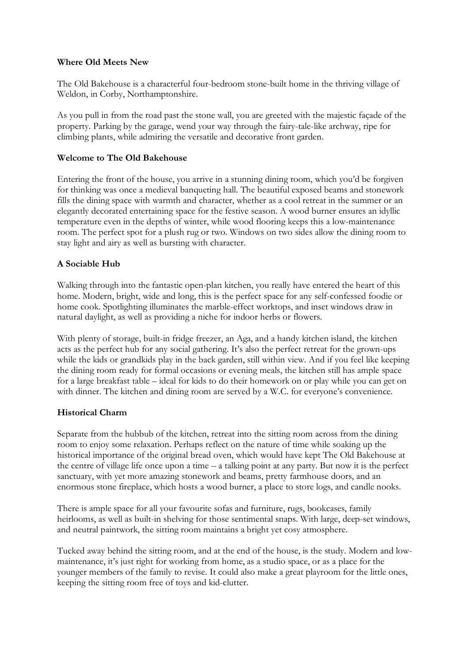## **Where Old Meets New**

The Old Bakehouse is a characterful four-bedroom stone-built home in the thriving village of Weldon, in Corby, Northamptonshire.

As you pull in from the road past the stone wall, you are greeted with the majestic façade of the property. Parking by the garage, wend your way through the fairy-tale-like archway, ripe for climbing plants, while admiring the versatile and decorative front garden.

## **Welcome to The Old Bakehouse**

Entering the front of the house, you arrive in a stunning dining room, which you'd be forgiven for thinking was once a medieval banqueting hall. The beautiful exposed beams and stonework fills the dining space with warmth and character, whether as a cool retreat in the summer or an elegantly decorated entertaining space for the festive season. A wood burner ensures an idyllic temperature even in the depths of winter, while wood flooring keeps this a low-maintenance room. The perfect spot for a plush rug or two. Windows on two sides allow the dining room to stay light and airy as well as bursting with character.

# **A Sociable Hub**

Walking through into the fantastic open-plan kitchen, you really have entered the heart of this home. Modern, bright, wide and long, this is the perfect space for any self-confessed foodie or home cook. Spotlighting illuminates the marble-effect worktops, and inset windows draw in natural daylight, as well as providing a niche for indoor herbs or flowers.

With plenty of storage, built-in fridge freezer, an Aga, and a handy kitchen island, the kitchen acts as the perfect hub for any social gathering. It's also the perfect retreat for the grown-ups while the kids or grandkids play in the back garden, still within view. And if you feel like keeping the dining room ready for formal occasions or evening meals, the kitchen still has ample space for a large breakfast table – ideal for kids to do their homework on or play while you can get on with dinner. The kitchen and dining room are served by a W.C. for everyone's convenience.

## **Historical Charm**

Separate from the hubbub of the kitchen, retreat into the sitting room across from the dining room to enjoy some relaxation. Perhaps reflect on the nature of time while soaking up the historical importance of the original bread oven, which would have kept The Old Bakehouse at the centre of village life once upon a time – a talking point at any party. But now it is the perfect sanctuary, with yet more amazing stonework and beams, pretty farmhouse doors, and an enormous stone fireplace, which hosts a wood burner, a place to store logs, and candle nooks.

There is ample space for all your favourite sofas and furniture, rugs, bookcases, family heirlooms, as well as built-in shelving for those sentimental snaps. With large, deep-set windows, and neutral paintwork, the sitting room maintains a bright yet cosy atmosphere.

Tucked away behind the sitting room, and at the end of the house, is the study. Modern and lowmaintenance, it's just right for working from home, as a studio space, or as a place for the younger members of the family to revise. It could also make a great playroom for the little ones, keeping the sitting room free of toys and kid-clutter.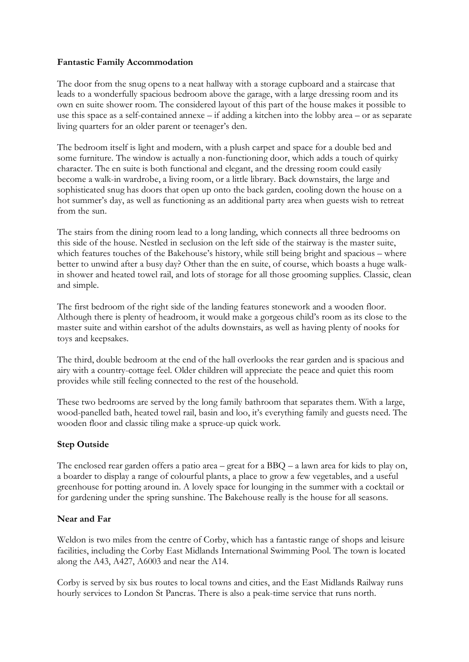## **Fantastic Family Accommodation**

The door from the snug opens to a neat hallway with a storage cupboard and a staircase that leads to a wonderfully spacious bedroom above the garage, with a large dressing room and its own en suite shower room. The considered layout of this part of the house makes it possible to use this space as a self-contained annexe – if adding a kitchen into the lobby area – or as separate living quarters for an older parent or teenager's den.

The bedroom itself is light and modern, with a plush carpet and space for a double bed and some furniture. The window is actually a non-functioning door, which adds a touch of quirky character. The en suite is both functional and elegant, and the dressing room could easily become a walk-in wardrobe, a living room, or a little library. Back downstairs, the large and sophisticated snug has doors that open up onto the back garden, cooling down the house on a hot summer's day, as well as functioning as an additional party area when guests wish to retreat from the sun.

The stairs from the dining room lead to a long landing, which connects all three bedrooms on this side of the house. Nestled in seclusion on the left side of the stairway is the master suite, which features touches of the Bakehouse's history, while still being bright and spacious – where better to unwind after a busy day? Other than the en suite, of course, which boasts a huge walkin shower and heated towel rail, and lots of storage for all those grooming supplies. Classic, clean and simple.

The first bedroom of the right side of the landing features stonework and a wooden floor. Although there is plenty of headroom, it would make a gorgeous child's room as its close to the master suite and within earshot of the adults downstairs, as well as having plenty of nooks for toys and keepsakes.

The third, double bedroom at the end of the hall overlooks the rear garden and is spacious and airy with a country-cottage feel. Older children will appreciate the peace and quiet this room provides while still feeling connected to the rest of the household.

These two bedrooms are served by the long family bathroom that separates them. With a large, wood-panelled bath, heated towel rail, basin and loo, it's everything family and guests need. The wooden floor and classic tiling make a spruce-up quick work.

# **Step Outside**

The enclosed rear garden offers a patio area – great for a BBQ – a lawn area for kids to play on, a boarder to display a range of colourful plants, a place to grow a few vegetables, and a useful greenhouse for potting around in. A lovely space for lounging in the summer with a cocktail or for gardening under the spring sunshine. The Bakehouse really is the house for all seasons.

# **Near and Far**

Weldon is two miles from the centre of Corby, which has a fantastic range of shops and leisure facilities, including the Corby East Midlands International Swimming Pool. The town is located along the A43, A427, A6003 and near the A14.

Corby is served by six bus routes to local towns and cities, and the East Midlands Railway runs hourly services to London St Pancras. There is also a peak-time service that runs north.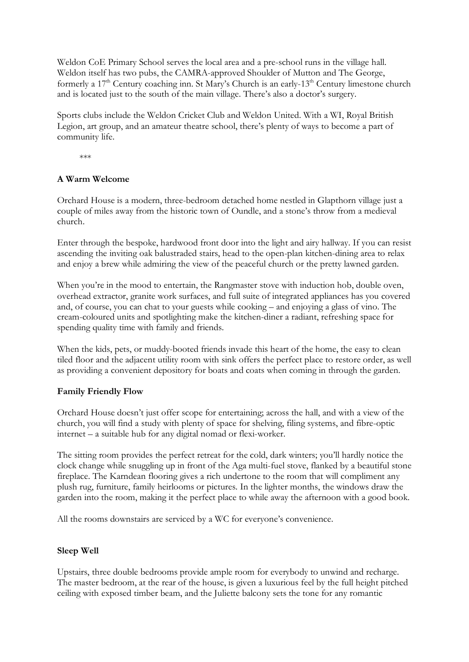Weldon CoE Primary School serves the local area and a pre-school runs in the village hall. Weldon itself has two pubs, the CAMRA-approved Shoulder of Mutton and The George, formerly a  $17<sup>th</sup>$  Century coaching inn. St Mary's Church is an early- $13<sup>th</sup>$  Century limestone church and is located just to the south of the main village. There's also a doctor's surgery.

Sports clubs include the Weldon Cricket Club and Weldon United. With a WI, Royal British Legion, art group, and an amateur theatre school, there's plenty of ways to become a part of community life.

\*\*\*

## **A Warm Welcome**

Orchard House is a modern, three-bedroom detached home nestled in Glapthorn village just a couple of miles away from the historic town of Oundle, and a stone's throw from a medieval church.

Enter through the bespoke, hardwood front door into the light and airy hallway. If you can resist ascending the inviting oak balustraded stairs, head to the open-plan kitchen-dining area to relax and enjoy a brew while admiring the view of the peaceful church or the pretty lawned garden.

When you're in the mood to entertain, the Rangmaster stove with induction hob, double oven, overhead extractor, granite work surfaces, and full suite of integrated appliances has you covered and, of course, you can chat to your guests while cooking – and enjoying a glass of vino. The cream-coloured units and spotlighting make the kitchen-diner a radiant, refreshing space for spending quality time with family and friends.

When the kids, pets, or muddy-booted friends invade this heart of the home, the easy to clean tiled floor and the adjacent utility room with sink offers the perfect place to restore order, as well as providing a convenient depository for boats and coats when coming in through the garden.

## **Family Friendly Flow**

Orchard House doesn't just offer scope for entertaining; across the hall, and with a view of the church, you will find a study with plenty of space for shelving, filing systems, and fibre-optic internet – a suitable hub for any digital nomad or flexi-worker.

The sitting room provides the perfect retreat for the cold, dark winters; you'll hardly notice the clock change while snuggling up in front of the Aga multi-fuel stove, flanked by a beautiful stone fireplace. The Karndean flooring gives a rich undertone to the room that will compliment any plush rug, furniture, family heirlooms or pictures. In the lighter months, the windows draw the garden into the room, making it the perfect place to while away the afternoon with a good book.

All the rooms downstairs are serviced by a WC for everyone's convenience.

## **Sleep Well**

Upstairs, three double bedrooms provide ample room for everybody to unwind and recharge. The master bedroom, at the rear of the house, is given a luxurious feel by the full height pitched ceiling with exposed timber beam, and the Juliette balcony sets the tone for any romantic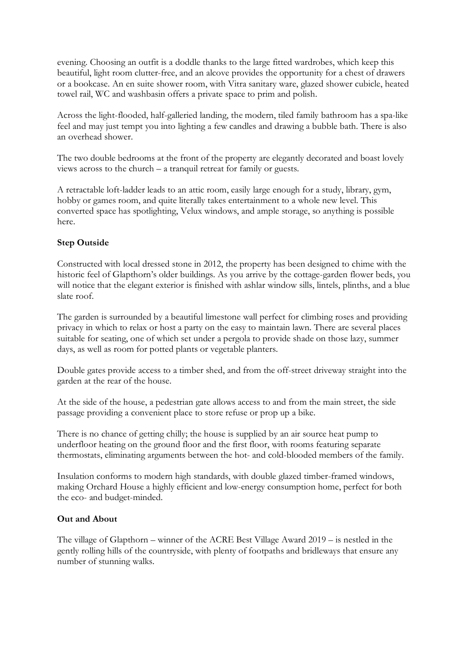evening. Choosing an outfit is a doddle thanks to the large fitted wardrobes, which keep this beautiful, light room clutter-free, and an alcove provides the opportunity for a chest of drawers or a bookcase. An en suite shower room, with Vitra sanitary ware, glazed shower cubicle, heated towel rail, WC and washbasin offers a private space to prim and polish.

Across the light-flooded, half-galleried landing, the modern, tiled family bathroom has a spa-like feel and may just tempt you into lighting a few candles and drawing a bubble bath. There is also an overhead shower.

The two double bedrooms at the front of the property are elegantly decorated and boast lovely views across to the church – a tranquil retreat for family or guests.

A retractable loft-ladder leads to an attic room, easily large enough for a study, library, gym, hobby or games room, and quite literally takes entertainment to a whole new level. This converted space has spotlighting, Velux windows, and ample storage, so anything is possible here.

## **Step Outside**

Constructed with local dressed stone in 2012, the property has been designed to chime with the historic feel of Glapthorn's older buildings. As you arrive by the cottage-garden flower beds, you will notice that the elegant exterior is finished with ashlar window sills, lintels, plinths, and a blue slate roof.

The garden is surrounded by a beautiful limestone wall perfect for climbing roses and providing privacy in which to relax or host a party on the easy to maintain lawn. There are several places suitable for seating, one of which set under a pergola to provide shade on those lazy, summer days, as well as room for potted plants or vegetable planters.

Double gates provide access to a timber shed, and from the off-street driveway straight into the garden at the rear of the house.

At the side of the house, a pedestrian gate allows access to and from the main street, the side passage providing a convenient place to store refuse or prop up a bike.

There is no chance of getting chilly; the house is supplied by an air source heat pump to underfloor heating on the ground floor and the first floor, with rooms featuring separate thermostats, eliminating arguments between the hot- and cold-blooded members of the family.

Insulation conforms to modern high standards, with double glazed timber-framed windows, making Orchard House a highly efficient and low-energy consumption home, perfect for both the eco- and budget-minded.

## **Out and About**

The village of Glapthorn – winner of the ACRE Best Village Award 2019 – is nestled in the gently rolling hills of the countryside, with plenty of footpaths and bridleways that ensure any number of stunning walks.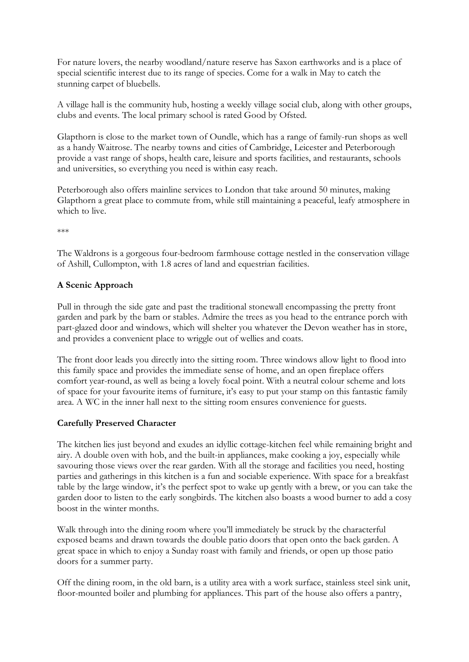For nature lovers, the nearby woodland/nature reserve has Saxon earthworks and is a place of special scientific interest due to its range of species. Come for a walk in May to catch the stunning carpet of bluebells.

A village hall is the community hub, hosting a weekly village social club, along with other groups, clubs and events. The local primary school is rated Good by Ofsted.

Glapthorn is close to the market town of Oundle, which has a range of family-run shops as well as a handy Waitrose. The nearby towns and cities of Cambridge, Leicester and Peterborough provide a vast range of shops, health care, leisure and sports facilities, and restaurants, schools and universities, so everything you need is within easy reach.

Peterborough also offers mainline services to London that take around 50 minutes, making Glapthorn a great place to commute from, while still maintaining a peaceful, leafy atmosphere in which to live.

\*\*\*

The Waldrons is a gorgeous four-bedroom farmhouse cottage nestled in the conservation village of Ashill, Cullompton, with 1.8 acres of land and equestrian facilities.

## **A Scenic Approach**

Pull in through the side gate and past the traditional stonewall encompassing the pretty front garden and park by the barn or stables. Admire the trees as you head to the entrance porch with part-glazed door and windows, which will shelter you whatever the Devon weather has in store, and provides a convenient place to wriggle out of wellies and coats.

The front door leads you directly into the sitting room. Three windows allow light to flood into this family space and provides the immediate sense of home, and an open fireplace offers comfort year-round, as well as being a lovely focal point. With a neutral colour scheme and lots of space for your favourite items of furniture, it's easy to put your stamp on this fantastic family area. A WC in the inner hall next to the sitting room ensures convenience for guests.

# **Carefully Preserved Character**

The kitchen lies just beyond and exudes an idyllic cottage-kitchen feel while remaining bright and airy. A double oven with hob, and the built-in appliances, make cooking a joy, especially while savouring those views over the rear garden. With all the storage and facilities you need, hosting parties and gatherings in this kitchen is a fun and sociable experience. With space for a breakfast table by the large window, it's the perfect spot to wake up gently with a brew, or you can take the garden door to listen to the early songbirds. The kitchen also boasts a wood burner to add a cosy boost in the winter months.

Walk through into the dining room where you'll immediately be struck by the characterful exposed beams and drawn towards the double patio doors that open onto the back garden. A great space in which to enjoy a Sunday roast with family and friends, or open up those patio doors for a summer party.

Off the dining room, in the old barn, is a utility area with a work surface, stainless steel sink unit, floor-mounted boiler and plumbing for appliances. This part of the house also offers a pantry,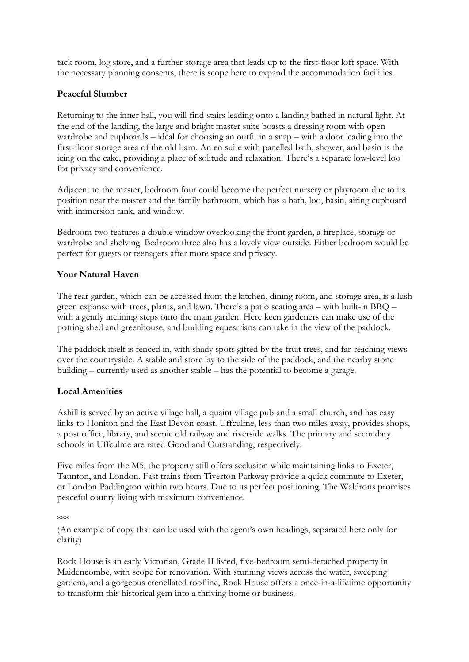tack room, log store, and a further storage area that leads up to the first-floor loft space. With the necessary planning consents, there is scope here to expand the accommodation facilities.

## **Peaceful Slumber**

Returning to the inner hall, you will find stairs leading onto a landing bathed in natural light. At the end of the landing, the large and bright master suite boasts a dressing room with open wardrobe and cupboards – ideal for choosing an outfit in a snap – with a door leading into the first-floor storage area of the old barn. An en suite with panelled bath, shower, and basin is the icing on the cake, providing a place of solitude and relaxation. There's a separate low-level loo for privacy and convenience.

Adjacent to the master, bedroom four could become the perfect nursery or playroom due to its position near the master and the family bathroom, which has a bath, loo, basin, airing cupboard with immersion tank, and window.

Bedroom two features a double window overlooking the front garden, a fireplace, storage or wardrobe and shelving. Bedroom three also has a lovely view outside. Either bedroom would be perfect for guests or teenagers after more space and privacy.

## **Your Natural Haven**

The rear garden, which can be accessed from the kitchen, dining room, and storage area, is a lush green expanse with trees, plants, and lawn. There's a patio seating area – with built-in BBQ – with a gently inclining steps onto the main garden. Here keen gardeners can make use of the potting shed and greenhouse, and budding equestrians can take in the view of the paddock.

The paddock itself is fenced in, with shady spots gifted by the fruit trees, and far-reaching views over the countryside. A stable and store lay to the side of the paddock, and the nearby stone building – currently used as another stable – has the potential to become a garage.

## **Local Amenities**

Ashill is served by an active village hall, a quaint village pub and a small church, and has easy links to Honiton and the East Devon coast. Uffculme, less than two miles away, provides shops, a post office, library, and scenic old railway and riverside walks. The primary and secondary schools in Uffculme are rated Good and Outstanding, respectively.

Five miles from the M5, the property still offers seclusion while maintaining links to Exeter, Taunton, and London. Fast trains from Tiverton Parkway provide a quick commute to Exeter, or London Paddington within two hours. Due to its perfect positioning, The Waldrons promises peaceful county living with maximum convenience.

(An example of copy that can be used with the agent's own headings, separated here only for clarity)

Rock House is an early Victorian, Grade II listed, five-bedroom semi-detached property in Maidencombe, with scope for renovation. With stunning views across the water, sweeping gardens, and a gorgeous crenellated roofline, Rock House offers a once-in-a-lifetime opportunity to transform this historical gem into a thriving home or business.

<sup>\*\*\*</sup>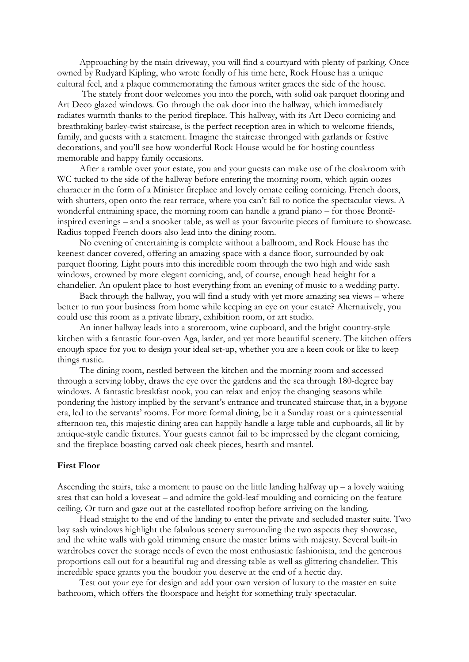Approaching by the main driveway, you will find a courtyard with plenty of parking. Once owned by Rudyard Kipling, who wrote fondly of his time here, Rock House has a unique cultural feel, and a plaque commemorating the famous writer graces the side of the house.

The stately front door welcomes you into the porch, with solid oak parquet flooring and Art Deco glazed windows. Go through the oak door into the hallway, which immediately radiates warmth thanks to the period fireplace. This hallway, with its Art Deco cornicing and breathtaking barley-twist staircase, is the perfect reception area in which to welcome friends, family, and guests with a statement. Imagine the staircase thronged with garlands or festive decorations, and you'll see how wonderful Rock House would be for hosting countless memorable and happy family occasions.

After a ramble over your estate, you and your guests can make use of the cloakroom with WC tucked to the side of the hallway before entering the morning room, which again oozes character in the form of a Minister fireplace and lovely ornate ceiling cornicing. French doors, with shutters, open onto the rear terrace, where you can't fail to notice the spectacular views. A wonderful entraining space, the morning room can handle a grand piano – for those Brontëinspired evenings – and a snooker table, as well as your favourite pieces of furniture to showcase. Radius topped French doors also lead into the dining room.

No evening of entertaining is complete without a ballroom, and Rock House has the keenest dancer covered, offering an amazing space with a dance floor, surrounded by oak parquet flooring. Light pours into this incredible room through the two high and wide sash windows, crowned by more elegant cornicing, and, of course, enough head height for a chandelier. An opulent place to host everything from an evening of music to a wedding party.

Back through the hallway, you will find a study with yet more amazing sea views – where better to run your business from home while keeping an eye on your estate? Alternatively, you could use this room as a private library, exhibition room, or art studio.

An inner hallway leads into a storeroom, wine cupboard, and the bright country-style kitchen with a fantastic four-oven Aga, larder, and yet more beautiful scenery. The kitchen offers enough space for you to design your ideal set-up, whether you are a keen cook or like to keep things rustic.

The dining room, nestled between the kitchen and the morning room and accessed through a serving lobby, draws the eye over the gardens and the sea through 180-degree bay windows. A fantastic breakfast nook, you can relax and enjoy the changing seasons while pondering the history implied by the servant's entrance and truncated staircase that, in a bygone era, led to the servants' rooms. For more formal dining, be it a Sunday roast or a quintessential afternoon tea, this majestic dining area can happily handle a large table and cupboards, all lit by antique-style candle fixtures. Your guests cannot fail to be impressed by the elegant cornicing, and the fireplace boasting carved oak cheek pieces, hearth and mantel.

#### **First Floor**

Ascending the stairs, take a moment to pause on the little landing halfway  $up - a$  lovely waiting area that can hold a loveseat – and admire the gold-leaf moulding and cornicing on the feature ceiling. Or turn and gaze out at the castellated rooftop before arriving on the landing.

Head straight to the end of the landing to enter the private and secluded master suite. Two bay sash windows highlight the fabulous scenery surrounding the two aspects they showcase, and the white walls with gold trimming ensure the master brims with majesty. Several built-in wardrobes cover the storage needs of even the most enthusiastic fashionista, and the generous proportions call out for a beautiful rug and dressing table as well as glittering chandelier. This incredible space grants you the boudoir you deserve at the end of a hectic day.

Test out your eye for design and add your own version of luxury to the master en suite bathroom, which offers the floorspace and height for something truly spectacular.